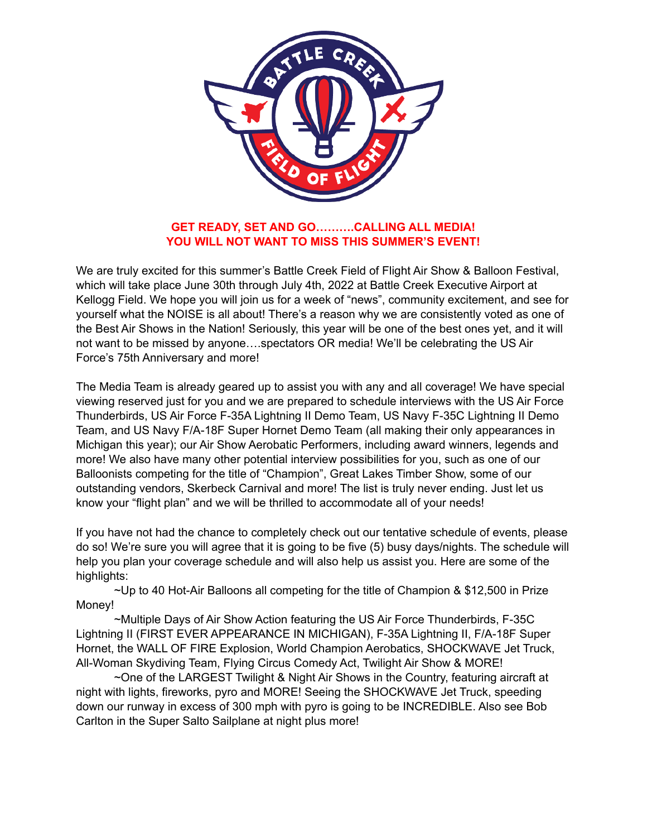

## **GET READY, SET AND GO……….CALLING ALL MEDIA! YOU WILL NOT WANT TO MISS THIS SUMMER'S EVENT!**

We are truly excited for this summer's Battle Creek Field of Flight Air Show & Balloon Festival, which will take place June 30th through July 4th, 2022 at Battle Creek Executive Airport at Kellogg Field. We hope you will join us for a week of "news", community excitement, and see for yourself what the NOISE is all about! There's a reason why we are consistently voted as one of the Best Air Shows in the Nation! Seriously, this year will be one of the best ones yet, and it will not want to be missed by anyone….spectators OR media! We'll be celebrating the US Air Force's 75th Anniversary and more!

The Media Team is already geared up to assist you with any and all coverage! We have special viewing reserved just for you and we are prepared to schedule interviews with the US Air Force Thunderbirds, US Air Force F-35A Lightning II Demo Team, US Navy F-35C Lightning II Demo Team, and US Navy F/A-18F Super Hornet Demo Team (all making their only appearances in Michigan this year); our Air Show Aerobatic Performers, including award winners, legends and more! We also have many other potential interview possibilities for you, such as one of our Balloonists competing for the title of "Champion", Great Lakes Timber Show, some of our outstanding vendors, Skerbeck Carnival and more! The list is truly never ending. Just let us know your "flight plan" and we will be thrilled to accommodate all of your needs!

If you have not had the chance to completely check out our tentative schedule of events, please do so! We're sure you will agree that it is going to be five (5) busy days/nights. The schedule will help you plan your coverage schedule and will also help us assist you. Here are some of the highlights:

~Up to 40 Hot-Air Balloons all competing for the title of Champion & \$12,500 in Prize Money!

 ~Multiple Days of Air Show Action featuring the US Air Force Thunderbirds, F-35C Lightning II (FIRST EVER APPEARANCE IN MICHIGAN), F-35A Lightning II, F/A-18F Super Hornet, the WALL OF FIRE Explosion, World Champion Aerobatics, SHOCKWAVE Jet Truck, All-Woman Skydiving Team, Flying Circus Comedy Act, Twilight Air Show & MORE!

 ~One of the LARGEST Twilight & Night Air Shows in the Country, featuring aircraft at night with lights, fireworks, pyro and MORE! Seeing the SHOCKWAVE Jet Truck, speeding down our runway in excess of 300 mph with pyro is going to be INCREDIBLE. Also see Bob Carlton in the Super Salto Sailplane at night plus more!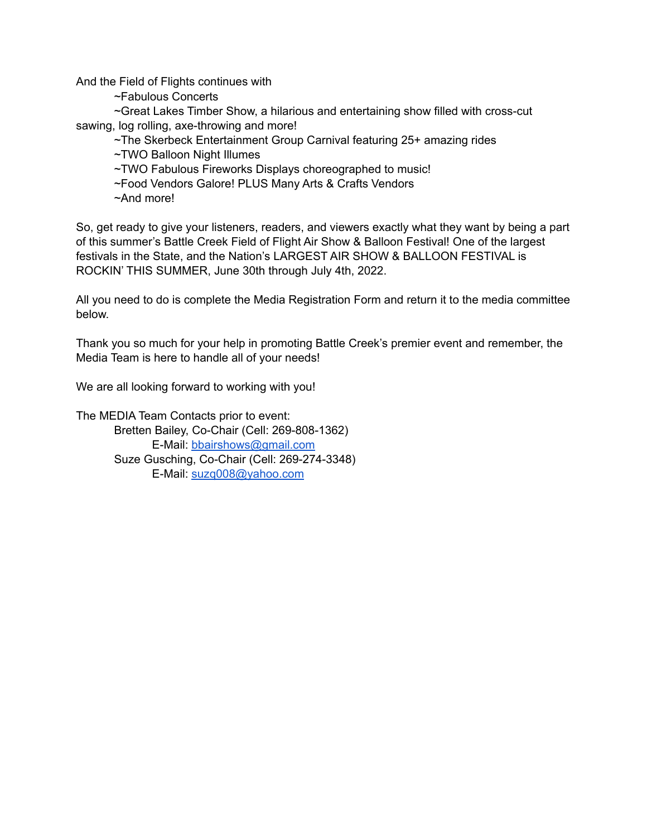And the Field of Flights continues with

~Fabulous Concerts

 ~Great Lakes Timber Show, a hilarious and entertaining show filled with cross-cut sawing, log rolling, axe-throwing and more!

~The Skerbeck Entertainment Group Carnival featuring 25+ amazing rides

~TWO Balloon Night Illumes

~TWO Fabulous Fireworks Displays choreographed to music!

~Food Vendors Galore! PLUS Many Arts & Crafts Vendors

~And more!

So, get ready to give your listeners, readers, and viewers exactly what they want by being a part of this summer's Battle Creek Field of Flight Air Show & Balloon Festival! One of the largest festivals in the State, and the Nation's LARGEST AIR SHOW & BALLOON FESTIVAL is ROCKIN' THIS SUMMER, June 30th through July 4th, 2022.

All you need to do is complete the Media Registration Form and return it to the media committee below.

Thank you so much for your help in promoting Battle Creek's premier event and remember, the Media Team is here to handle all of your needs!

We are all looking forward to working with you!

The MEDIA Team Contacts prior to event: Bretten Bailey, Co-Chair (Cell: 269-808-1362) E-Mail: [bbairshows@gmail.com](mailto:bbairshows@gmail.com) Suze Gusching, Co-Chair (Cell: 269-274-3348) E-Mail: [suzq008@yahoo.com](mailto:suzq008@yahoo.com)